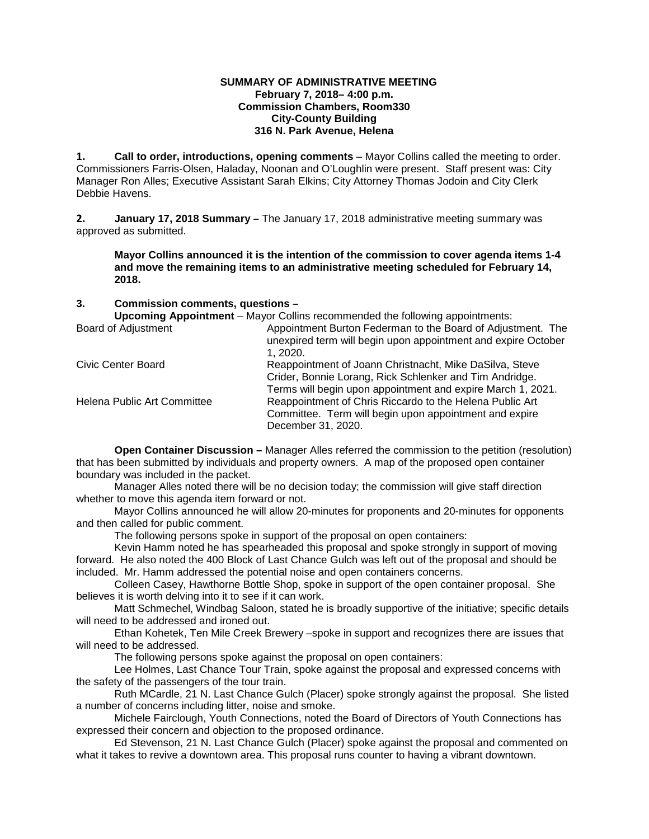## **SUMMARY OF ADMINISTRATIVE MEETING February 7, 2018– 4:00 p.m. Commission Chambers, Room330 City-County Building 316 N. Park Avenue, Helena**

**1. Call to order, introductions, opening comments** – Mayor Collins called the meeting to order. Commissioners Farris-Olsen, Haladay, Noonan and O'Loughlin were present. Staff present was: City Manager Ron Alles; Executive Assistant Sarah Elkins; City Attorney Thomas Jodoin and City Clerk Debbie Havens.

**2. January 17, 2018 Summary –** The January 17, 2018 administrative meeting summary was approved as submitted.

**Mayor Collins announced it is the intention of the commission to cover agenda items 1-4 and move the remaining items to an administrative meeting scheduled for February 14, 2018.**

**3. Commission comments, questions –**

**Upcoming Appointment** – Mayor Collins recommended the following appointments:

Appointment Burton Federman to the Board of Adjustment. The unexpired term will begin upon appointment and expire October

|                             | 1. 2020.                                                    |
|-----------------------------|-------------------------------------------------------------|
| Civic Center Board          | Reappointment of Joann Christnacht, Mike DaSilva, Steve     |
|                             | Crider, Bonnie Lorang, Rick Schlenker and Tim Andridge.     |
|                             | Terms will begin upon appointment and expire March 1, 2021. |
| Helena Public Art Committee | Reappointment of Chris Riccardo to the Helena Public Art    |
|                             | Committee. Term will begin upon appointment and expire      |
|                             | December 31, 2020.                                          |

**Open Container Discussion –** Manager Alles referred the commission to the petition (resolution) that has been submitted by individuals and property owners. A map of the proposed open container boundary was included in the packet.

Manager Alles noted there will be no decision today; the commission will give staff direction whether to move this agenda item forward or not.

Mayor Collins announced he will allow 20-minutes for proponents and 20-minutes for opponents and then called for public comment.

The following persons spoke in support of the proposal on open containers:

Kevin Hamm noted he has spearheaded this proposal and spoke strongly in support of moving forward. He also noted the 400 Block of Last Chance Gulch was left out of the proposal and should be included. Mr. Hamm addressed the potential noise and open containers concerns.

Colleen Casey, Hawthorne Bottle Shop, spoke in support of the open container proposal. She believes it is worth delving into it to see if it can work.

Matt Schmechel, Windbag Saloon, stated he is broadly supportive of the initiative; specific details will need to be addressed and ironed out.

Ethan Kohetek, Ten Mile Creek Brewery –spoke in support and recognizes there are issues that will need to be addressed.

The following persons spoke against the proposal on open containers:

Lee Holmes, Last Chance Tour Train, spoke against the proposal and expressed concerns with the safety of the passengers of the tour train.

Ruth MCardle, 21 N. Last Chance Gulch (Placer) spoke strongly against the proposal. She listed a number of concerns including litter, noise and smoke.

Michele Fairclough, Youth Connections, noted the Board of Directors of Youth Connections has expressed their concern and objection to the proposed ordinance.

Ed Stevenson, 21 N. Last Chance Gulch (Placer) spoke against the proposal and commented on what it takes to revive a downtown area. This proposal runs counter to having a vibrant downtown.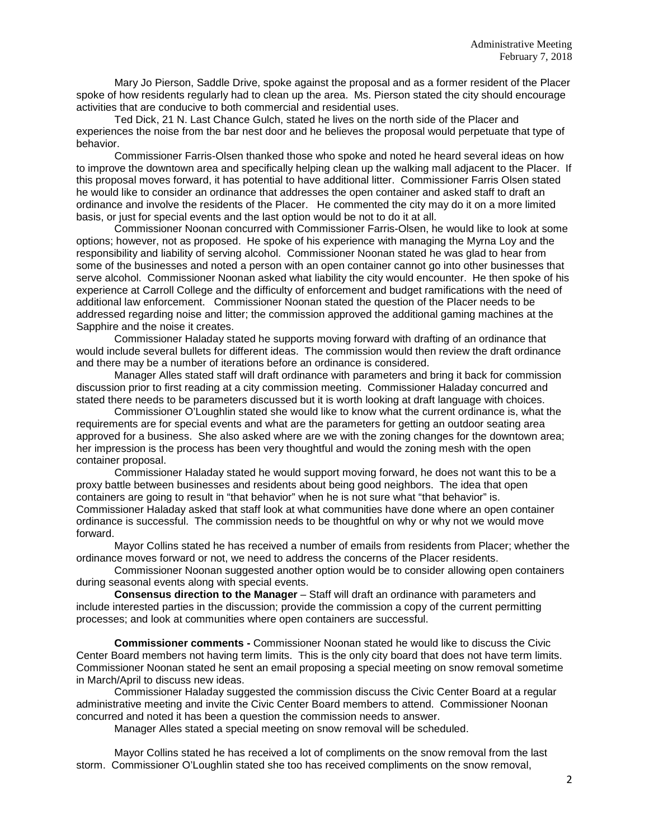Mary Jo Pierson, Saddle Drive, spoke against the proposal and as a former resident of the Placer spoke of how residents regularly had to clean up the area. Ms. Pierson stated the city should encourage activities that are conducive to both commercial and residential uses.

Ted Dick, 21 N. Last Chance Gulch, stated he lives on the north side of the Placer and experiences the noise from the bar nest door and he believes the proposal would perpetuate that type of behavior.

Commissioner Farris-Olsen thanked those who spoke and noted he heard several ideas on how to improve the downtown area and specifically helping clean up the walking mall adjacent to the Placer. If this proposal moves forward, it has potential to have additional litter. Commissioner Farris Olsen stated he would like to consider an ordinance that addresses the open container and asked staff to draft an ordinance and involve the residents of the Placer. He commented the city may do it on a more limited basis, or just for special events and the last option would be not to do it at all.

Commissioner Noonan concurred with Commissioner Farris-Olsen, he would like to look at some options; however, not as proposed. He spoke of his experience with managing the Myrna Loy and the responsibility and liability of serving alcohol. Commissioner Noonan stated he was glad to hear from some of the businesses and noted a person with an open container cannot go into other businesses that serve alcohol. Commissioner Noonan asked what liability the city would encounter. He then spoke of his experience at Carroll College and the difficulty of enforcement and budget ramifications with the need of additional law enforcement. Commissioner Noonan stated the question of the Placer needs to be addressed regarding noise and litter; the commission approved the additional gaming machines at the Sapphire and the noise it creates.

Commissioner Haladay stated he supports moving forward with drafting of an ordinance that would include several bullets for different ideas. The commission would then review the draft ordinance and there may be a number of iterations before an ordinance is considered.

Manager Alles stated staff will draft ordinance with parameters and bring it back for commission discussion prior to first reading at a city commission meeting. Commissioner Haladay concurred and stated there needs to be parameters discussed but it is worth looking at draft language with choices.

Commissioner O'Loughlin stated she would like to know what the current ordinance is, what the requirements are for special events and what are the parameters for getting an outdoor seating area approved for a business. She also asked where are we with the zoning changes for the downtown area; her impression is the process has been very thoughtful and would the zoning mesh with the open container proposal.

Commissioner Haladay stated he would support moving forward, he does not want this to be a proxy battle between businesses and residents about being good neighbors. The idea that open containers are going to result in "that behavior" when he is not sure what "that behavior" is. Commissioner Haladay asked that staff look at what communities have done where an open container ordinance is successful. The commission needs to be thoughtful on why or why not we would move forward.

Mayor Collins stated he has received a number of emails from residents from Placer; whether the ordinance moves forward or not, we need to address the concerns of the Placer residents.

Commissioner Noonan suggested another option would be to consider allowing open containers during seasonal events along with special events.

**Consensus direction to the Manager** – Staff will draft an ordinance with parameters and include interested parties in the discussion; provide the commission a copy of the current permitting processes; and look at communities where open containers are successful.

**Commissioner comments -** Commissioner Noonan stated he would like to discuss the Civic Center Board members not having term limits. This is the only city board that does not have term limits. Commissioner Noonan stated he sent an email proposing a special meeting on snow removal sometime in March/April to discuss new ideas.

Commissioner Haladay suggested the commission discuss the Civic Center Board at a regular administrative meeting and invite the Civic Center Board members to attend. Commissioner Noonan concurred and noted it has been a question the commission needs to answer.

Manager Alles stated a special meeting on snow removal will be scheduled.

Mayor Collins stated he has received a lot of compliments on the snow removal from the last storm. Commissioner O'Loughlin stated she too has received compliments on the snow removal,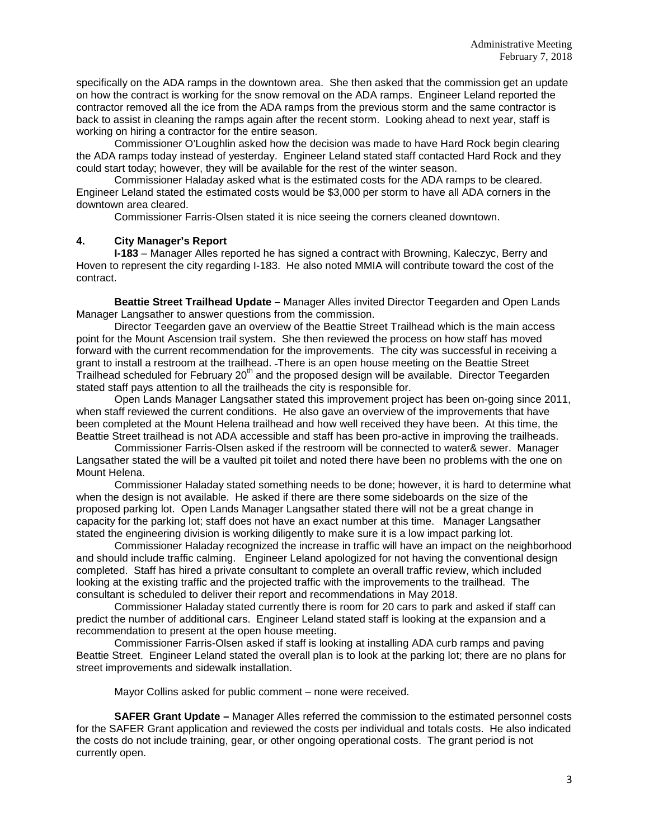specifically on the ADA ramps in the downtown area. She then asked that the commission get an update on how the contract is working for the snow removal on the ADA ramps. Engineer Leland reported the contractor removed all the ice from the ADA ramps from the previous storm and the same contractor is back to assist in cleaning the ramps again after the recent storm. Looking ahead to next year, staff is working on hiring a contractor for the entire season.

Commissioner O'Loughlin asked how the decision was made to have Hard Rock begin clearing the ADA ramps today instead of yesterday. Engineer Leland stated staff contacted Hard Rock and they could start today; however, they will be available for the rest of the winter season.

Commissioner Haladay asked what is the estimated costs for the ADA ramps to be cleared. Engineer Leland stated the estimated costs would be \$3,000 per storm to have all ADA corners in the downtown area cleared.

Commissioner Farris-Olsen stated it is nice seeing the corners cleaned downtown.

## **4. City Manager's Report**

**I-183** – Manager Alles reported he has signed a contract with Browning, Kaleczyc, Berry and Hoven to represent the city regarding I-183. He also noted MMIA will contribute toward the cost of the contract.

**Beattie Street Trailhead Update –** Manager Alles invited Director Teegarden and Open Lands Manager Langsather to answer questions from the commission.

Director Teegarden gave an overview of the Beattie Street Trailhead which is the main access point for the Mount Ascension trail system. She then reviewed the process on how staff has moved forward with the current recommendation for the improvements. The city was successful in receiving a grant to install a restroom at the trailhead. There is an open house meeting on the Beattie Street Trailhead scheduled for February 20<sup>th</sup> and the proposed design will be available. Director Teegarden stated staff pays attention to all the trailheads the city is responsible for.

Open Lands Manager Langsather stated this improvement project has been on-going since 2011, when staff reviewed the current conditions. He also gave an overview of the improvements that have been completed at the Mount Helena trailhead and how well received they have been. At this time, the Beattie Street trailhead is not ADA accessible and staff has been pro-active in improving the trailheads.

Commissioner Farris-Olsen asked if the restroom will be connected to water& sewer. Manager Langsather stated the will be a vaulted pit toilet and noted there have been no problems with the one on Mount Helena.

Commissioner Haladay stated something needs to be done; however, it is hard to determine what when the design is not available. He asked if there are there some sideboards on the size of the proposed parking lot. Open Lands Manager Langsather stated there will not be a great change in capacity for the parking lot; staff does not have an exact number at this time. Manager Langsather stated the engineering division is working diligently to make sure it is a low impact parking lot.

Commissioner Haladay recognized the increase in traffic will have an impact on the neighborhood and should include traffic calming. Engineer Leland apologized for not having the conventional design completed. Staff has hired a private consultant to complete an overall traffic review, which included looking at the existing traffic and the projected traffic with the improvements to the trailhead. The consultant is scheduled to deliver their report and recommendations in May 2018.

Commissioner Haladay stated currently there is room for 20 cars to park and asked if staff can predict the number of additional cars. Engineer Leland stated staff is looking at the expansion and a recommendation to present at the open house meeting.

Commissioner Farris-Olsen asked if staff is looking at installing ADA curb ramps and paving Beattie Street. Engineer Leland stated the overall plan is to look at the parking lot; there are no plans for street improvements and sidewalk installation.

Mayor Collins asked for public comment – none were received.

**SAFER Grant Update –** Manager Alles referred the commission to the estimated personnel costs for the SAFER Grant application and reviewed the costs per individual and totals costs. He also indicated the costs do not include training, gear, or other ongoing operational costs. The grant period is not currently open.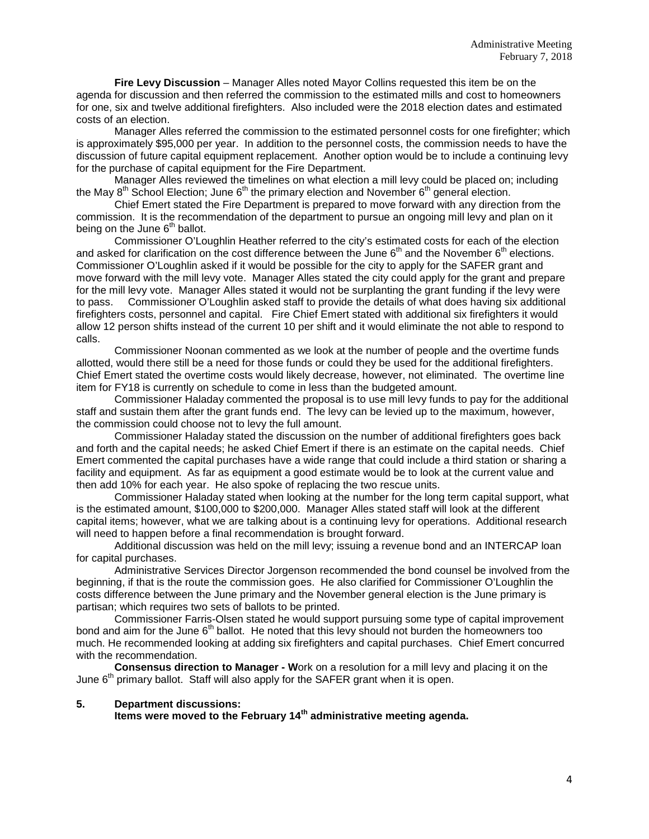**Fire Levy Discussion** – Manager Alles noted Mayor Collins requested this item be on the agenda for discussion and then referred the commission to the estimated mills and cost to homeowners for one, six and twelve additional firefighters. Also included were the 2018 election dates and estimated costs of an election.

Manager Alles referred the commission to the estimated personnel costs for one firefighter; which is approximately \$95,000 per year. In addition to the personnel costs, the commission needs to have the discussion of future capital equipment replacement. Another option would be to include a continuing levy for the purchase of capital equipment for the Fire Department.

Manager Alles reviewed the timelines on what election a mill levy could be placed on; including the May  $8<sup>th</sup>$  School Election; June  $6<sup>th</sup>$  the primary election and November  $6<sup>th</sup>$  general election.

Chief Emert stated the Fire Department is prepared to move forward with any direction from the commission. It is the recommendation of the department to pursue an ongoing mill levy and plan on it being on the June  $6<sup>th</sup>$  ballot.

Commissioner O'Loughlin Heather referred to the city's estimated costs for each of the election and asked for clarification on the cost difference between the June  $6<sup>th</sup>$  and the November  $6<sup>th</sup>$  elections. Commissioner O'Loughlin asked if it would be possible for the city to apply for the SAFER grant and move forward with the mill levy vote. Manager Alles stated the city could apply for the grant and prepare for the mill levy vote. Manager Alles stated it would not be surplanting the grant funding if the levy were to pass. Commissioner O'Loughlin asked staff to provide the details of what does having six additional firefighters costs, personnel and capital. Fire Chief Emert stated with additional six firefighters it would allow 12 person shifts instead of the current 10 per shift and it would eliminate the not able to respond to calls.

Commissioner Noonan commented as we look at the number of people and the overtime funds allotted, would there still be a need for those funds or could they be used for the additional firefighters. Chief Emert stated the overtime costs would likely decrease, however, not eliminated. The overtime line item for FY18 is currently on schedule to come in less than the budgeted amount.

Commissioner Haladay commented the proposal is to use mill levy funds to pay for the additional staff and sustain them after the grant funds end. The levy can be levied up to the maximum, however, the commission could choose not to levy the full amount.

Commissioner Haladay stated the discussion on the number of additional firefighters goes back and forth and the capital needs; he asked Chief Emert if there is an estimate on the capital needs. Chief Emert commented the capital purchases have a wide range that could include a third station or sharing a facility and equipment. As far as equipment a good estimate would be to look at the current value and then add 10% for each year. He also spoke of replacing the two rescue units.

Commissioner Haladay stated when looking at the number for the long term capital support, what is the estimated amount, \$100,000 to \$200,000. Manager Alles stated staff will look at the different capital items; however, what we are talking about is a continuing levy for operations. Additional research will need to happen before a final recommendation is brought forward.

Additional discussion was held on the mill levy; issuing a revenue bond and an INTERCAP loan for capital purchases.

Administrative Services Director Jorgenson recommended the bond counsel be involved from the beginning, if that is the route the commission goes. He also clarified for Commissioner O'Loughlin the costs difference between the June primary and the November general election is the June primary is partisan; which requires two sets of ballots to be printed.

Commissioner Farris-Olsen stated he would support pursuing some type of capital improvement bond and aim for the June 6<sup>th</sup> ballot. He noted that this levy should not burden the homeowners too much. He recommended looking at adding six firefighters and capital purchases. Chief Emert concurred with the recommendation.

**Consensus direction to Manager - W**ork on a resolution for a mill levy and placing it on the June 6<sup>th</sup> primary ballot. Staff will also apply for the SAFER grant when it is open.

## **5. Department discussions:**

**Items were moved to the February 14th administrative meeting agenda.**